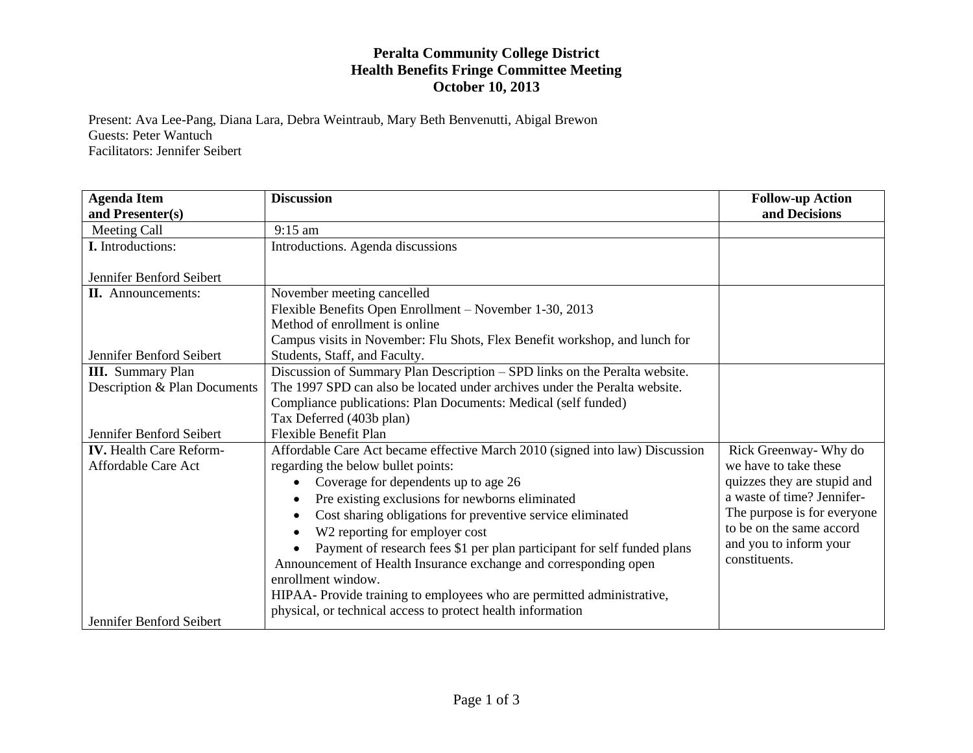## **Peralta Community College District Health Benefits Fringe Committee Meeting October 10, 2013**

Present: Ava Lee-Pang, Diana Lara, Debra Weintraub, Mary Beth Benvenutti, Abigal Brewon Guests: Peter Wantuch Facilitators: Jennifer Seibert

| <b>Agenda Item</b>             | <b>Discussion</b>                                                            | <b>Follow-up Action</b>     |
|--------------------------------|------------------------------------------------------------------------------|-----------------------------|
| and Presenter(s)               |                                                                              | and Decisions               |
| Meeting Call                   | $9:15$ am                                                                    |                             |
| <b>I.</b> Introductions:       | Introductions. Agenda discussions                                            |                             |
| Jennifer Benford Seibert       |                                                                              |                             |
| <b>II.</b> Announcements:      | November meeting cancelled                                                   |                             |
|                                | Flexible Benefits Open Enrollment - November 1-30, 2013                      |                             |
|                                | Method of enrollment is online                                               |                             |
|                                | Campus visits in November: Flu Shots, Flex Benefit workshop, and lunch for   |                             |
| Jennifer Benford Seibert       | Students, Staff, and Faculty.                                                |                             |
| <b>III.</b> Summary Plan       | Discussion of Summary Plan Description - SPD links on the Peralta website.   |                             |
| Description & Plan Documents   | The 1997 SPD can also be located under archives under the Peralta website.   |                             |
|                                | Compliance publications: Plan Documents: Medical (self funded)               |                             |
|                                | Tax Deferred (403b plan)                                                     |                             |
| Jennifer Benford Seibert       | Flexible Benefit Plan                                                        |                             |
| <b>IV.</b> Health Care Reform- | Affordable Care Act became effective March 2010 (signed into law) Discussion | Rick Greenway- Why do       |
| Affordable Care Act            | regarding the below bullet points:                                           | we have to take these       |
|                                | Coverage for dependents up to age 26                                         | quizzes they are stupid and |
|                                | Pre existing exclusions for newborns eliminated                              | a waste of time? Jennifer-  |
|                                | Cost sharing obligations for preventive service eliminated                   | The purpose is for everyone |
|                                | W2 reporting for employer cost                                               | to be on the same accord    |
|                                | Payment of research fees \$1 per plan participant for self funded plans      | and you to inform your      |
|                                | Announcement of Health Insurance exchange and corresponding open             | constituents.               |
|                                | enrollment window.                                                           |                             |
|                                | HIPAA- Provide training to employees who are permitted administrative,       |                             |
|                                | physical, or technical access to protect health information                  |                             |
| Jennifer Benford Seibert       |                                                                              |                             |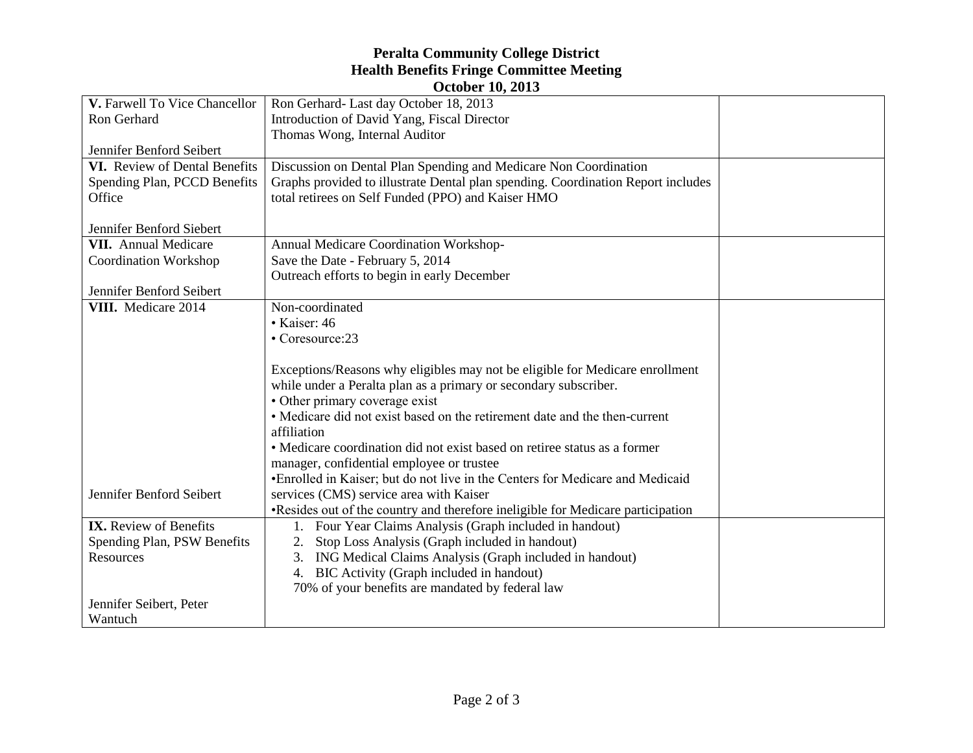## **Peralta Community College District Health Benefits Fringe Committee Meeting October 10, 2013**

| V. Farwell To Vice Chancellor | OCLODEL 104 AVIO<br>Ron Gerhard- Last day October 18, 2013                       |  |
|-------------------------------|----------------------------------------------------------------------------------|--|
| Ron Gerhard                   | Introduction of David Yang, Fiscal Director                                      |  |
|                               | Thomas Wong, Internal Auditor                                                    |  |
| Jennifer Benford Seibert      |                                                                                  |  |
| VI. Review of Dental Benefits | Discussion on Dental Plan Spending and Medicare Non Coordination                 |  |
| Spending Plan, PCCD Benefits  | Graphs provided to illustrate Dental plan spending. Coordination Report includes |  |
| Office                        | total retirees on Self Funded (PPO) and Kaiser HMO                               |  |
|                               |                                                                                  |  |
| Jennifer Benford Siebert      |                                                                                  |  |
| <b>VII.</b> Annual Medicare   | Annual Medicare Coordination Workshop-                                           |  |
| <b>Coordination Workshop</b>  | Save the Date - February 5, 2014                                                 |  |
|                               | Outreach efforts to begin in early December                                      |  |
| Jennifer Benford Seibert      |                                                                                  |  |
| VIII. Medicare 2014           | Non-coordinated                                                                  |  |
|                               | • Kaiser: 46                                                                     |  |
|                               | • Coresource:23                                                                  |  |
|                               |                                                                                  |  |
|                               | Exceptions/Reasons why eligibles may not be eligible for Medicare enrollment     |  |
|                               | while under a Peralta plan as a primary or secondary subscriber.                 |  |
|                               | • Other primary coverage exist                                                   |  |
|                               | • Medicare did not exist based on the retirement date and the then-current       |  |
|                               | affiliation                                                                      |  |
|                               | • Medicare coordination did not exist based on retiree status as a former        |  |
|                               | manager, confidential employee or trustee                                        |  |
|                               | •Enrolled in Kaiser; but do not live in the Centers for Medicare and Medicaid    |  |
| Jennifer Benford Seibert      | services (CMS) service area with Kaiser                                          |  |
|                               | •Resides out of the country and therefore ineligible for Medicare participation  |  |
| <b>IX.</b> Review of Benefits | 1. Four Year Claims Analysis (Graph included in handout)                         |  |
| Spending Plan, PSW Benefits   | Stop Loss Analysis (Graph included in handout)                                   |  |
| Resources                     | ING Medical Claims Analysis (Graph included in handout)<br>3.                    |  |
|                               | 4. BIC Activity (Graph included in handout)                                      |  |
|                               | 70% of your benefits are mandated by federal law                                 |  |
| Jennifer Seibert, Peter       |                                                                                  |  |
| Wantuch                       |                                                                                  |  |